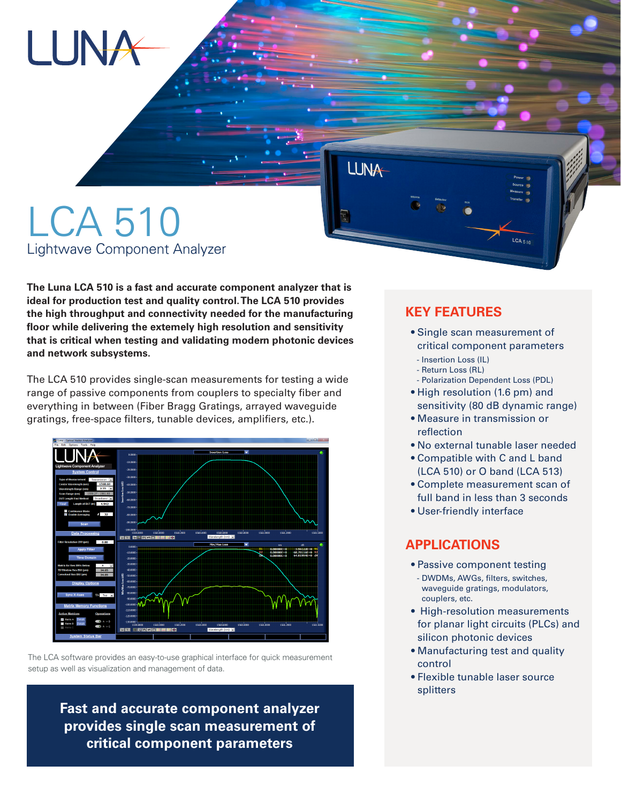# LUNA

# LCA 510 Lightwave Component Analyzer

**The Luna LCA 510 is a fast and accurate component analyzer that is ideal for production test and quality control. The LCA 510 provides the high throughput and connectivity needed for the manufacturing floor while delivering the extemely high resolution and sensitivity that is critical when testing and validating modern photonic devices and network subsystems.** 

The LCA 510 provides single-scan measurements for testing a wide range of passive components from couplers to specialty fiber and everything in between (Fiber Bragg Gratings, arrayed waveguide gratings, free-space filters, tunable devices, amplifiers, etc.).





**Fast and accurate component analyzer provides single scan measurement of critical component parameters**

### **KEY FEATURES**

**LUNA** 

 • Single scan measurement of critical component parameters

 $LCA_{510}$ 

- Insertion Loss (IL)
- Return Loss (RL)
- Polarization Dependent Loss (PDL)
- High resolution (1.6 pm) and sensitivity (80 dB dynamic range)
- Measure in transmission or reflection
- No external tunable laser needed
- Compatible with C and L band (LCA 510) or O band (LCA 513)
- Complete measurement scan of full band in less than 3 seconds
- User-friendly interface

#### **APPLICATIONS**

- Passive component testing - DWDMs, AWGs, filters, switches, waveguide gratings, modulators, couplers, etc.
- High-resolution measurements for planar light circuits (PLCs) and silicon photonic devices
- Manufacturing test and quality control
- Flexible tunable laser source splitters